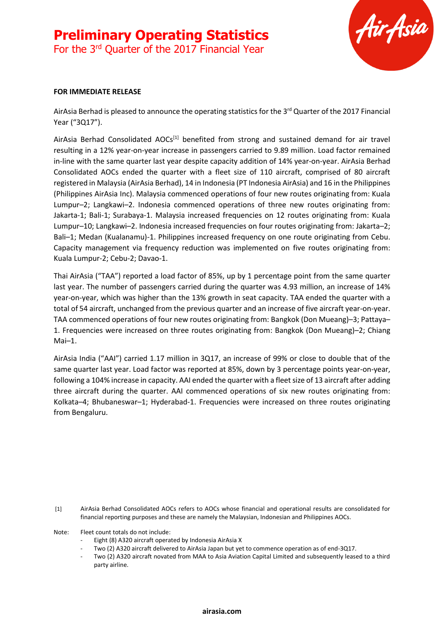# **Preliminary Operating Statistics**

For the 3<sup>rd</sup> Quarter of the 2017 Financial Year



#### **FOR IMMEDIATE RELEASE**

AirAsia Berhad is pleased to announce the operating statistics for the 3<sup>rd</sup> Quarter of the 2017 Financial Year ("3Q17").

AirAsia Berhad Consolidated  $AOCs^{[1]}$  benefited from strong and sustained demand for air travel resulting in a 12% year-on-year increase in passengers carried to 9.89 million. Load factor remained in-line with the same quarter last year despite capacity addition of 14% year-on-year. AirAsia Berhad Consolidated AOCs ended the quarter with a fleet size of 110 aircraft, comprised of 80 aircraft registered in Malaysia (AirAsia Berhad), 14 in Indonesia (PT Indonesia AirAsia) and 16 in the Philippines (Philippines AirAsia Inc). Malaysia commenced operations of four new routes originating from: Kuala Lumpur–2; Langkawi–2. Indonesia commenced operations of three new routes originating from: Jakarta-1; Bali-1; Surabaya-1. Malaysia increased frequencies on 12 routes originating from: Kuala Lumpur–10; Langkawi–2. Indonesia increased frequencies on four routes originating from: Jakarta–2; Bali–1; Medan (Kualanamu)-1. Philippines increased frequency on one route originating from Cebu. Capacity management via frequency reduction was implemented on five routes originating from: Kuala Lumpur-2; Cebu-2; Davao-1.

Thai AirAsia ("TAA") reported a load factor of 85%, up by 1 percentage point from the same quarter last year. The number of passengers carried during the quarter was 4.93 million, an increase of 14% year-on-year, which was higher than the 13% growth in seat capacity. TAA ended the quarter with a total of 54 aircraft, unchanged from the previous quarter and an increase of five aircraft year-on-year. TAA commenced operations of four new routes originating from: Bangkok (Don Mueang)–3; Pattaya– 1. Frequencies were increased on three routes originating from: Bangkok (Don Mueang)–2; Chiang Mai–1.

AirAsia India ("AAI") carried 1.17 million in 3Q17, an increase of 99% or close to double that of the same quarter last year. Load factor was reported at 85%, down by 3 percentage points year-on-year, following a 104% increase in capacity. AAI ended the quarter with a fleet size of 13 aircraft after adding three aircraft during the quarter. AAI commenced operations of six new routes originating from: Kolkata–4; Bhubaneswar–1; Hyderabad-1. Frequencies were increased on three routes originating from Bengaluru.

[1] AirAsia Berhad Consolidated AOCs refers to AOCs whose financial and operational results are consolidated for financial reporting purposes and these are namely the Malaysian, Indonesian and Philippines AOCs.

Note: Fleet count totals do not include:

- Eight (8) A320 aircraft operated by Indonesia AirAsia X
- Two (2) A320 aircraft delivered to AirAsia Japan but yet to commence operation as of end-3Q17.
- Two (2) A320 aircraft novated from MAA to Asia Aviation Capital Limited and subsequently leased to a third party airline.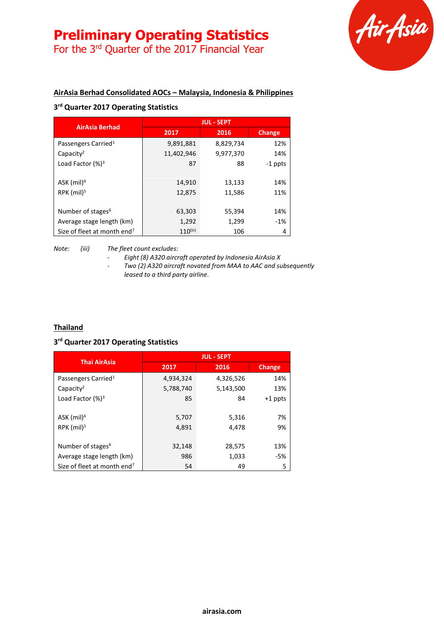# **Preliminary Operating Statistics**

For the 3<sup>rd</sup> Quarter of the 2017 Financial Year



### **AirAsia Berhad Consolidated AOCs – Malaysia, Indonesia & Philippines**

## **3 rd Quarter 2017 Operating Statistics**

|                                         | <b>JUL - SEPT</b> |           |               |
|-----------------------------------------|-------------------|-----------|---------------|
| <b>AirAsia Berhad</b>                   | 2017              | 2016      | <b>Change</b> |
| Passengers Carried <sup>1</sup>         | 9,891,881         | 8,829,734 | 12%           |
| Capacity <sup>2</sup>                   | 11,402,946        | 9,977,370 | 14%           |
| Load Factor $(%)^3$                     | 87                | 88        | -1 ppts       |
|                                         |                   |           |               |
| ASK $(mil)^4$                           | 14,910            | 13,133    | 14%           |
| RPK $(mil)^5$                           | 12,875            | 11,586    | 11%           |
|                                         |                   |           |               |
| Number of stages <sup>6</sup>           | 63,303            | 55,394    | 14%           |
| Average stage length (km)               | 1,292             | 1,299     | $-1%$         |
| Size of fleet at month end <sup>7</sup> | $110^{(iii)}$     | 106       | 4             |

#### *Note: (iii) The fleet count excludes:*

*- Eight (8) A320 aircraft operated by Indonesia AirAsia X*

*- Two (2) A320 aircraft novated from MAA to AAC and subsequently leased to a third party airline.*

#### **Thailand**

#### **3 rd Quarter 2017 Operating Statistics**

| <b>Thai AirAsia</b>                     | <b>JUL - SEPT</b> |           |               |
|-----------------------------------------|-------------------|-----------|---------------|
|                                         | 2017              | 2016      | <b>Change</b> |
| Passengers Carried <sup>1</sup>         | 4,934,324         | 4,326,526 | 14%           |
| Capacity <sup>2</sup>                   | 5,788,740         | 5,143,500 | 13%           |
| Load Factor $(%)^3$                     | 85                | 84        | $+1$ ppts     |
|                                         |                   |           |               |
| ASK (mil) <sup>4</sup>                  | 5,707             | 5,316     | 7%            |
| RPK (mil) <sup>5</sup>                  | 4,891             | 4,478     | 9%            |
|                                         |                   |           |               |
| Number of stages <sup>6</sup>           | 32,148            | 28,575    | 13%           |
| Average stage length (km)               | 986               | 1,033     | -5%           |
| Size of fleet at month end <sup>7</sup> | 54                | 49        | 5             |